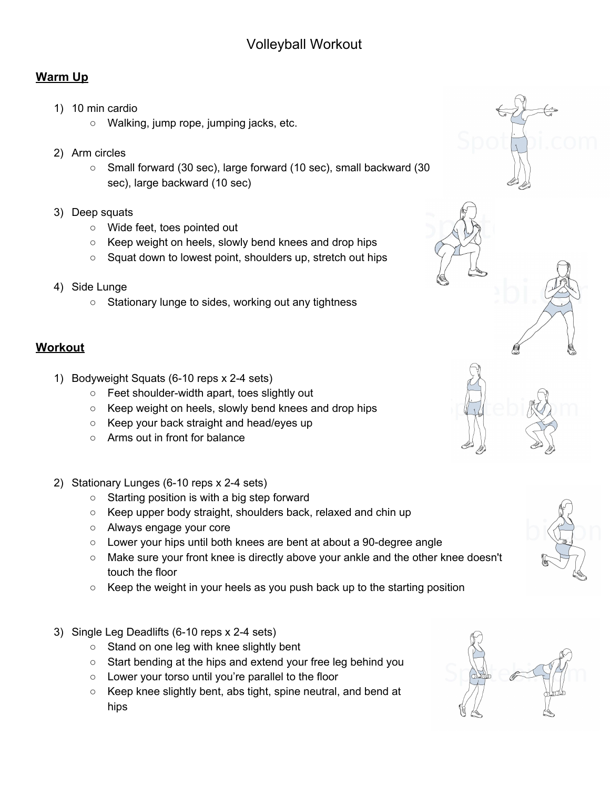## **Warm Up**

- 1) 10 min cardio
	- Walking, jump rope, jumping jacks, etc.
- 2) Arm circles
	- Small forward (30 sec), large forward (10 sec), small backward (30 sec), large backward (10 sec)
- 3) Deep squats
	- Wide feet, toes pointed out
	- Keep weight on heels, slowly bend knees and drop hips
	- Squat down to lowest point, shoulders up, stretch out hips
- 4) Side Lunge
	- Stationary lunge to sides, working out any tightness

## **Workout**

- 1) Bodyweight Squats (6-10 reps x 2-4 sets)
	- Feet shoulder-width apart, toes slightly out
	- Keep weight on heels, slowly bend knees and drop hips
	- Keep your back straight and head/eyes up
	- Arms out in front for balance
- 2) Stationary Lunges (6-10 reps x 2-4 sets)
	- Starting position is with a big step forward
	- Keep upper body straight, shoulders back, relaxed and chin up
	- Always engage your core
	- Lower your hips until both knees are bent at about a 90-degree angle
	- Make sure your front knee is directly above your ankle and the other knee doesn't touch the floor
	- $\circ$  Keep the weight in your heels as you push back up to the starting position
- 3) Single Leg Deadlifts (6-10 reps x 2-4 sets)
	- Stand on one leg with knee slightly bent
	- Start bending at the hips and extend your free leg behind you
	- Lower your torso until you're parallel to the floor
	- Keep knee slightly bent, abs tight, spine neutral, and bend at hips

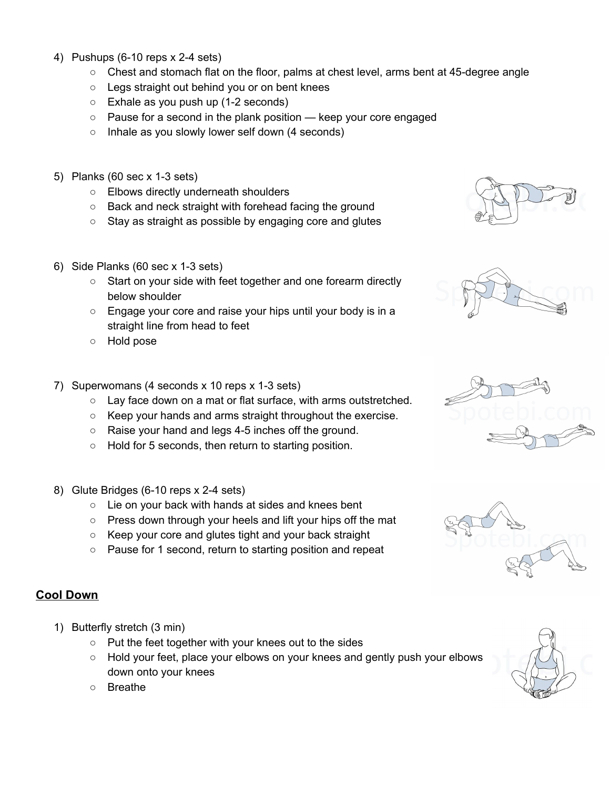- 4) Pushups (6-10 reps x 2-4 sets)
	- $\circ$  Chest and stomach flat on the floor, palms at chest level, arms bent at 45-degree angle
	- Legs straight out behind you or on bent knees
	- Exhale as you push up (1-2 seconds)
	- Pause for a second in the plank position keep your core engaged
	- Inhale as you slowly lower self down (4 seconds)
- 5) Planks (60 sec x 1-3 sets)
	- Elbows directly underneath shoulders
	- Back and neck straight with forehead facing the ground
	- Stay as straight as possible by engaging core and glutes
- 6) Side Planks (60 sec x 1-3 sets)
	- Start on your side with feet together and one forearm directly below shoulder
	- Engage your core and raise your hips until your body is in a straight line from head to feet
	- Hold pose
- 7) Superwomans (4 seconds x 10 reps x 1-3 sets)
	- Lay face down on a mat or flat surface, with arms outstretched.
	- Keep your hands and arms straight throughout the exercise.
	- Raise your hand and legs 4-5 inches off the ground.
	- Hold for 5 seconds, then return to starting position.
- 8) Glute Bridges (6-10 reps x 2-4 sets)
	- Lie on your back with hands at sides and knees bent
	- Press down through your heels and lift your hips off the mat
	- Keep your core and glutes tight and your back straight
	- Pause for 1 second, return to starting position and repeat

## **Cool Down**

- 1) Butterfly stretch (3 min)
	- Put the feet together with your knees out to the sides
	- Hold your feet, place your elbows on your knees and gently push your elbows down onto your knees
	- Breathe